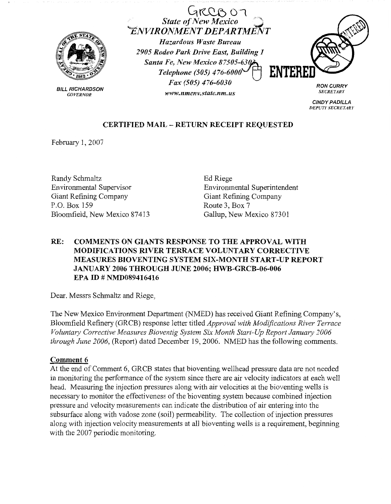

BILL RICHARDSON *GOVERNOR* 

 $GRCBO$ *State of New Mexico ..,.ENVIRONMENT DEPARTAfifvT Hazardous Waste Bureau* 

*2905 Rodeo Park Drive East, Building 1 Santa Fe, New Mexico 87505-630 Telephone (505) 476-6000 Fax (505) 476-6030* 

*www.nmenv.state.nm.us* 



**RON CURRY**  *SECRETARY* 

**CINDY PADILLA**  *DEPUTY SECRETARY* 

# **CERTIFIED MAIL** - **RETURN RECEIPT REQUESTED**

February 1, 2007

Randy Schmaltz Environmental Supervisor Giant Refining Company P.O. Box 159 Bloomfield, New Mexico 87413

Ed Riege Environmental Superintendent Giant Refining Company Route 3, Box 7 Gallup, New Mexico 87301

## **RE: COMMENTS ON GIANTS RESPONSE TO THE APPROVAL WITH MODIFICATIONS RIVER TERRACE VOLUNTARY CORRECTIVE MEASURES BIOVENTING SYSTEM SIX-MONTH START-UP REPORT JANUARY 2006 THROUGH JUNE 2006; HWB-GRCB-06-006 EPA ID# NMD089416416**

Dear. Messrs Schmaltz and Riege,

The New Mexico Environment Department (NMED) has received Giant Refining Company's, Bloomfield Refinery (GRCB) response letter titled *Approval with Modifications River Terrace Voluntary Corrective Measures Bioventig System Six Month Start-Up Report January 2006 through June 2006,* (Report) dated December 19, 2006. NMED has the following comments.

### **Comment 6**

At the end of Comment 6, GRCB states that bioventing wellhead pressure data are not needed in monitoring the performance of the system since there are air velocity indicators at each well head. Measuring the injection pressures along with air velocities at the bioventing wells is necessary to monitor the effectiveness of the bioventing system because combined injection pressure and velocity measurements can indicate the distribution of air entering into the subsurface along with vadose zone (soil) permeability. The collection of injection pressures along with injection velocity measurements at all bioventing wells is a requirement, beginning with the 2007 periodic monitoring.